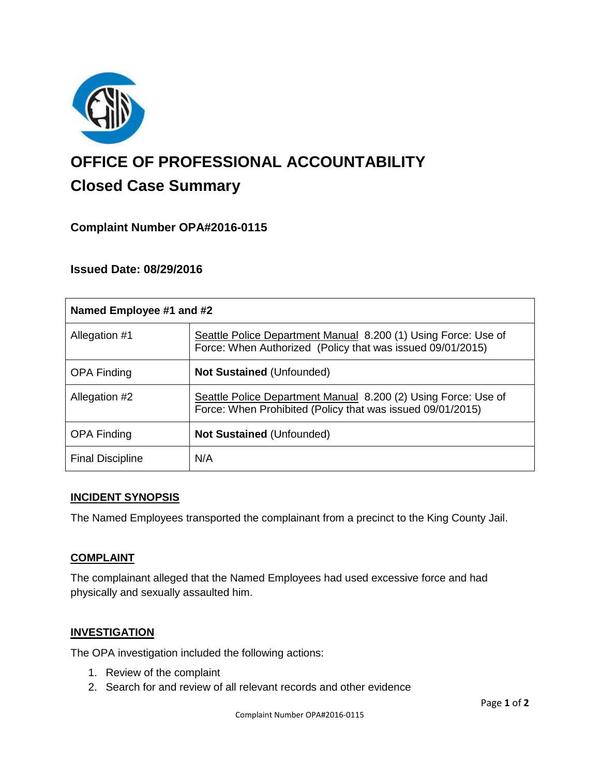

# **OFFICE OF PROFESSIONAL ACCOUNTABILITY Closed Case Summary**

# **Complaint Number OPA#2016-0115**

## **Issued Date: 08/29/2016**

| Named Employee #1 and #2 |                                                                                                                              |
|--------------------------|------------------------------------------------------------------------------------------------------------------------------|
| Allegation #1            | Seattle Police Department Manual 8.200 (1) Using Force: Use of<br>Force: When Authorized (Policy that was issued 09/01/2015) |
| <b>OPA Finding</b>       | <b>Not Sustained (Unfounded)</b>                                                                                             |
| Allegation #2            | Seattle Police Department Manual 8.200 (2) Using Force: Use of<br>Force: When Prohibited (Policy that was issued 09/01/2015) |
| <b>OPA Finding</b>       | <b>Not Sustained (Unfounded)</b>                                                                                             |
| <b>Final Discipline</b>  | N/A                                                                                                                          |

#### **INCIDENT SYNOPSIS**

The Named Employees transported the complainant from a precinct to the King County Jail.

## **COMPLAINT**

The complainant alleged that the Named Employees had used excessive force and had physically and sexually assaulted him.

## **INVESTIGATION**

The OPA investigation included the following actions:

- 1. Review of the complaint
- 2. Search for and review of all relevant records and other evidence